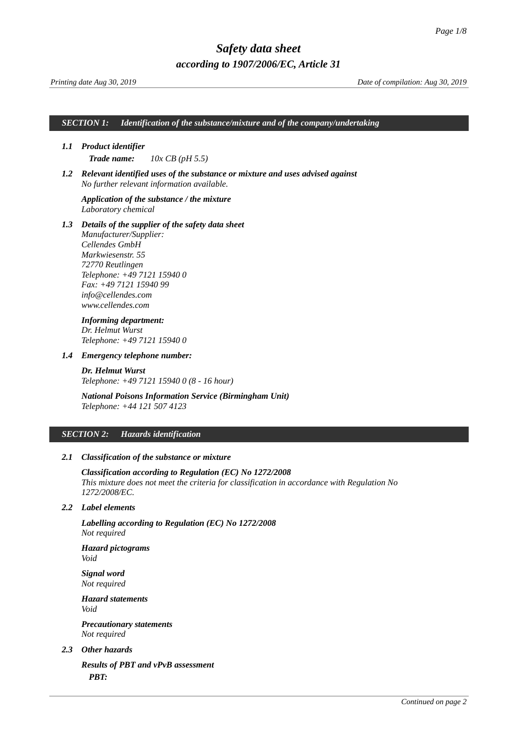*SECTION 1: Identification of the substance/mixture and of the company/undertaking*

## *1.1 Product identifier*

<span id="page-0-0"></span>*Trade name: 10x CB (pH 5.5)*

*1.2 Relevant identified uses of the substance or mixture and uses advised against No further relevant information available.*

### *Application of the substance / the mixture Laboratory chemical*

*1.3 Details of the supplier of the safety data sheet*

*Manufacturer/Supplier: Cellendes GmbH Markwiesenstr. 55 72770 Reutlingen Telephone: +49 7121 15940 0 Fax: +49 7121 15940 99 info@cellendes.com www.cellendes.com*

# *Informing department: Dr. Helmut Wurst Telephone: +49 7121 15940 0*

*1.4 Emergency telephone number:*

*Dr. Helmut Wurst Telephone: +49 7121 15940 0 (8 - 16 hour)*

*National Poisons Information Service (Birmingham Unit) Telephone: +44 121 507 4123*

### *SECTION 2: Hazards identification*

# *2.1 Classification of the substance or mixture*

*Classification according to Regulation (EC) No 1272/2008 This mixture does not meet the criteria for classification in accordance with Regulation No 1272/2008/EC.* 

### *2.2 Label elements*

*Labelling according to Regulation (EC) No 1272/2008 Not required*

*Hazard pictograms Void*

*Signal word Not required*

*Hazard statements Void*

*Precautionary statements Not required*

### *2.3 Other hazards*

*Results of PBT and vPvB assessment PBT:*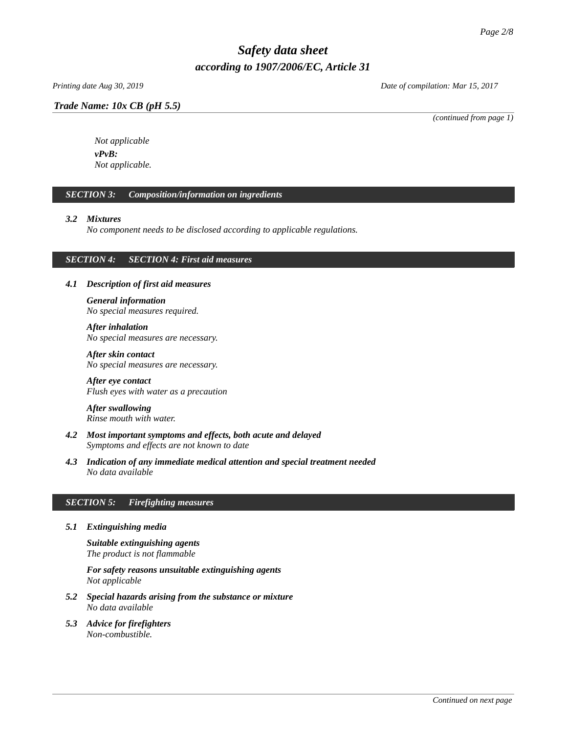# *Trade Name: [10x CB \(pH 5.5\)](#page-0-0)*

*Printing date Aug 30, 2019 Date of compilation: Mar 15, 2017*

*(continued from page 1)*

*Not applicable vPvB: Not applicable.*

# *SECTION 3: Composition/information on ingredients*

# *3.2 Mixtures*

*No component needs to be disclosed according to applicable regulations.*

# *SECTION 4: SECTION 4: First aid measures*

# *4.1 Description of first aid measures*

*General information No special measures required.*

*After inhalation No special measures are necessary.* 

*After skin contact No special measures are necessary.* 

*After eye contact Flush eyes with water as a precaution*

*After swallowing Rinse mouth with water.* 

- *4.2 Most important symptoms and effects, both acute and delayed Symptoms and effects are not known to date*
- *4.3 Indication of any immediate medical attention and special treatment needed No data available*

# *SECTION 5: Firefighting measures*

*5.1 Extinguishing media*

*Suitable extinguishing agents The product is not flammable*

*For safety reasons unsuitable extinguishing agents Not applicable*

- *5.2 Special hazards arising from the substance or mixture No data available*
- *5.3 Advice for firefighters Non-combustible.*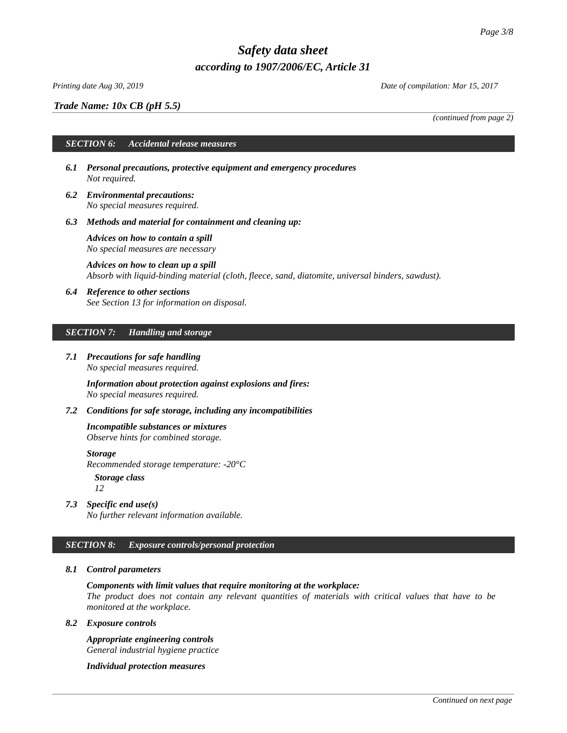*Trade Name: [10x CB \(pH 5.5\)](#page-0-0)*

*(continued from page 2)*

# *SECTION 6: Accidental release measures*

- *6.1 Personal precautions, protective equipment and emergency procedures Not required.*
- *6.2 Environmental precautions: No special measures required.*
- *6.3 Methods and material for containment and cleaning up:*

*Advices on how to contain a spill No special measures are necessary*

*Advices on how to clean up a spill Absorb with liquid-binding material (cloth, fleece, sand, diatomite, universal binders, sawdust).*

*6.4 Reference to other sections See Section 13 for information on disposal.*

### *SECTION 7: Handling and storage*

*7.1 Precautions for safe handling No special measures required.*

> *Information about protection against explosions and fires: No special measures required.*

*7.2 Conditions for safe storage, including any incompatibilities*

*Incompatible substances or mixtures*

*Observe hints for combined storage.*

*Storage Recommended storage temperature: -20°C*

*Storage class*

*12*

*7.3 Specific end use(s) No further relevant information available.*

# *SECTION 8: Exposure controls/personal protection*

# *8.1 Control parameters*

*Components with limit values that require monitoring at the workplace:*

*The product does not contain any relevant quantities of materials with critical values that have to be monitored at the workplace.*

#### *8.2 Exposure controls*

*Appropriate engineering controls General industrial hygiene practice*

*Individual protection measures*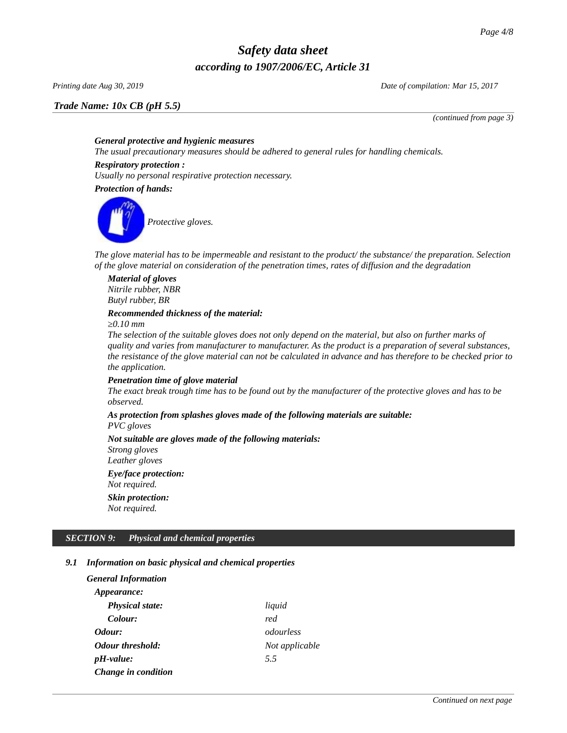*Trade Name: [10x CB \(pH 5.5\)](#page-0-0)*

*Printing date Aug 30, 2019 Date of compilation: Mar 15, 2017*

*(continued from page 3)*

# *General protective and hygienic measures*

*The usual precautionary measures should be adhered to general rules for handling chemicals.*

### *Respiratory protection :*

*Usually no personal respirative protection necessary.* 

*Protection of hands:*



*The glove material has to be impermeable and resistant to the product/ the substance/ the preparation. Selection of the glove material on consideration of the penetration times, rates of diffusion and the degradation*

*Material of gloves Nitrile rubber, NBR Butyl rubber, BR*

# *Recommended thickness of the material:*

*≥0.10 mm*

*The selection of the suitable gloves does not only depend on the material, but also on further marks of quality and varies from manufacturer to manufacturer. As the product is a preparation of several substances, the resistance of the glove material can not be calculated in advance and has therefore to be checked prior to the application.*

# *Penetration time of glove material*

*The exact break trough time has to be found out by the manufacturer of the protective gloves and has to be observed.*

# *As protection from splashes gloves made of the following materials are suitable:*

*PVC gloves*

*Not suitable are gloves made of the following materials: Strong gloves Leather gloves Eye/face protection: Not required. Skin protection: Not required.*

# *SECTION 9: Physical and chemical properties*

# *9.1 Information on basic physical and chemical properties*

| General Information     |                |
|-------------------------|----------------|
| <i>Appearance:</i>      |                |
| <b>Physical state:</b>  | liquid         |
| Colour:                 | red            |
| Odour:                  | odourless      |
| <b>Odour threshold:</b> | Not applicable |
| $pH$ -value:            | 5.5            |
| Change in condition     |                |
|                         |                |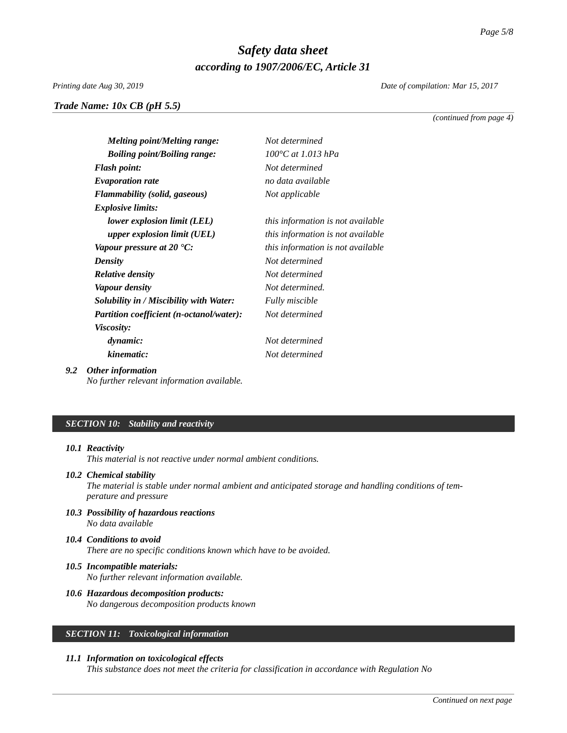*Printing date Aug 30, 2019 Date of compilation: Mar 15, 2017*

*Trade Name: [10x CB \(pH 5.5\)](#page-0-0)*

*(continued from page 4)*

| <b>Melting point/Melting range:</b>  | Not determined                    |
|--------------------------------------|-----------------------------------|
| <b>Boiling point/Boiling range:</b>  | 100°C at 1.013 hPa                |
| <b>Flash point:</b>                  | Not determined                    |
| <b>Evaporation rate</b>              | no data available                 |
| <b>Flammability (solid, gaseous)</b> | Not applicable                    |
| <b>Explosive limits:</b>             |                                   |
| lower explosion limit (LEL)          | this information is not available |
| upper explosion limit (UEL)          | this information is not available |
| Vanour pressure at 20 °C:            | this information is not available |

*upper explosion limit (UEL) this information is not available Vapour pressure at 20 °C: this information is not available Density Not determined Relative density Not determined Vapour density Not determined. Solubility in / Miscibility with Water: Fully miscible Partition coefficient (n-octanol/water): Not determined Viscosity: dynamic: Not determined kinematic: Not determined*

# *9.2 Other information*

*No further relevant information available.*

# *SECTION 10: Stability and reactivity*

#### *10.1 Reactivity*

*This material is not reactive under normal ambient conditions.* 

# *10.2 Chemical stability*

*The material is stable under normal ambient and anticipated storage and handling conditions of temperature and pressure*

- *10.3 Possibility of hazardous reactions No data available*
- *10.4 Conditions to avoid There are no specific conditions known which have to be avoided.*
- *10.5 Incompatible materials: No further relevant information available.*
- *10.6 Hazardous decomposition products: No dangerous decomposition products known*

# *SECTION 11: Toxicological information*

# *11.1 Information on toxicological effects*

*This substance does not meet the criteria for classification in accordance with Regulation No*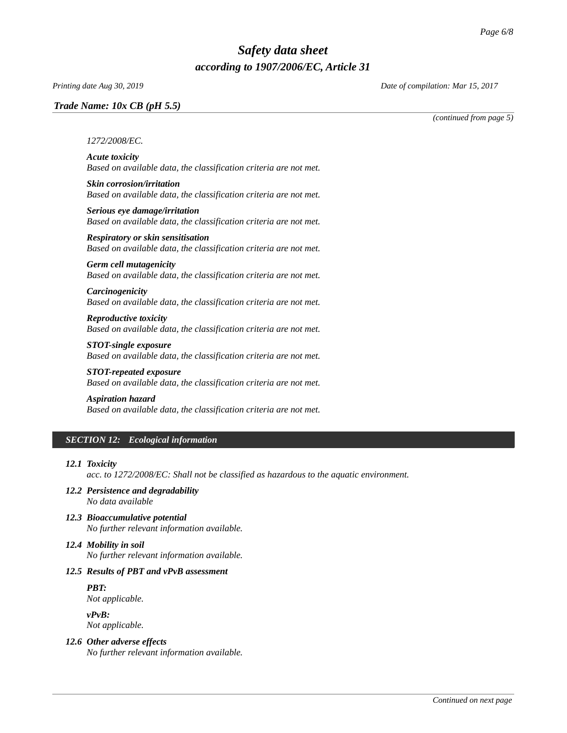# *Trade Name: [10x CB \(pH 5.5\)](#page-0-0)*

*Printing date Aug 30, 2019 Date of compilation: Mar 15, 2017*

*(continued from page 5)*

#### *1272/2008/EC.*

*Acute toxicity Based on available data, the classification criteria are not met.*

- *Skin corrosion/irritation Based on available data, the classification criteria are not met.*
- *Serious eye damage/irritation Based on available data, the classification criteria are not met.*

*Respiratory or skin sensitisation Based on available data, the classification criteria are not met.*

# *Germ cell mutagenicity*

*Based on available data, the classification criteria are not met.*

#### *Carcinogenicity Based on available data, the classification criteria are not met.*

*Reproductive toxicity Based on available data, the classification criteria are not met.*

*STOT-single exposure Based on available data, the classification criteria are not met.*

*STOT-repeated exposure Based on available data, the classification criteria are not met.*

#### *Aspiration hazard*

*Based on available data, the classification criteria are not met.*

# *SECTION 12: Ecological information*

#### *12.1 Toxicity*

*acc. to 1272/2008/EC: Shall not be classified as hazardous to the aquatic environment.* 

- *12.2 Persistence and degradability No data available*
- *12.3 Bioaccumulative potential No further relevant information available.*

# *12.4 Mobility in soil*

*No further relevant information available.*

# *12.5 Results of PBT and vPvB assessment*

*PBT:*

*Not applicable.*

*vPvB: Not applicable.*

# *12.6 Other adverse effects*

*No further relevant information available.*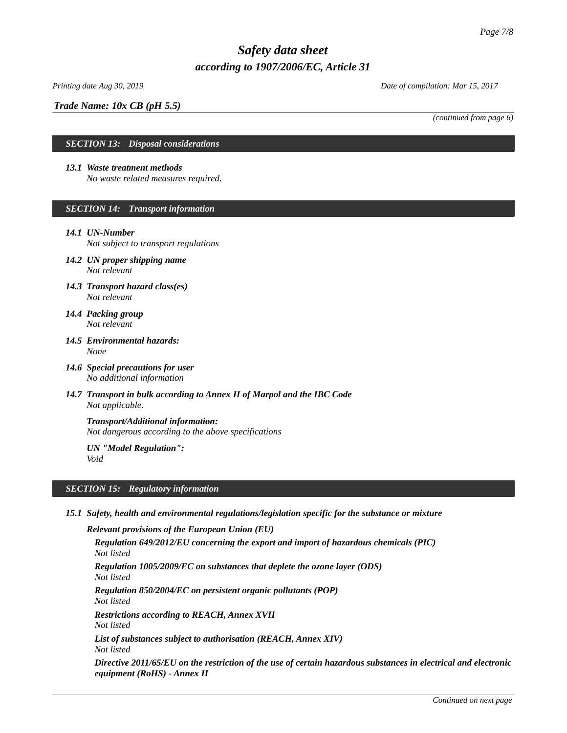# *Trade Name: [10x CB \(pH 5.5\)](#page-0-0)*

*Printing date Aug 30, 2019 Date of compilation: Mar 15, 2017*

*(continued from page 6)*

# *SECTION 13: Disposal considerations*

#### *13.1 Waste treatment methods*

*No waste related measures required.* 

# *SECTION 14: Transport information*

#### *14.1 UN-Number*

*Not subject to transport regulations*

- *14.2 UN proper shipping name Not relevant*
- *14.3 Transport hazard class(es) Not relevant*
- *14.4 Packing group Not relevant*
- *14.5 Environmental hazards: None*
- *14.6 Special precautions for user No additional information*
- *14.7 Transport in bulk according to Annex II of Marpol and the IBC Code Not applicable.*

*Transport/Additional information: Not dangerous according to the above specifications*

*UN "Model Regulation": Void*

# *SECTION 15: Regulatory information*

*15.1 Safety, health and environmental regulations/legislation specific for the substance or mixture*

*Relevant provisions of the European Union (EU) Regulation 649/2012/EU concerning the export and import of hazardous chemicals (PIC) Not listed Regulation 1005/2009/EC on substances that deplete the ozone layer (ODS) Not listed Regulation 850/2004/EC on persistent organic pollutants (POP) Not listed Restrictions according to REACH, Annex XVII Not listed List of substances subject to authorisation (REACH, Annex XIV) Not listed Directive 2011/65/EU on the restriction of the use of certain hazardous substances in electrical and electronic equipment (RoHS) - Annex II*